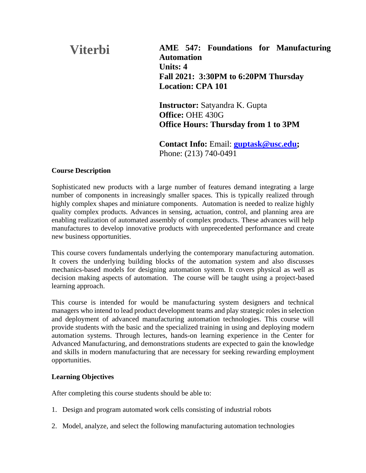# **AME 547: Foundations for Manufacturing Automation Units: 4 Fall 2021: 3:30PM to 6:20PM Thursday Location: CPA 101 Viterbi**

**Instructor:** Satyandra K. Gupta **Office:** OHE 430G **Office Hours: Thursday from 1 to 3PM**

**Contact Info:** Email: **[guptask@usc.edu;](mailto:guptask@usc.edu)**  Phone: (213) 740-0491

# **Course Description**

Sophisticated new products with a large number of features demand integrating a large number of components in increasingly smaller spaces. This is typically realized through highly complex shapes and miniature components. Automation is needed to realize highly quality complex products. Advances in sensing, actuation, control, and planning area are enabling realization of automated assembly of complex products. These advances will help manufactures to develop innovative products with unprecedented performance and create new business opportunities.

This course covers fundamentals underlying the contemporary manufacturing automation. It covers the underlying building blocks of the automation system and also discusses mechanics-based models for designing automation system. It covers physical as well as decision making aspects of automation. The course will be taught using a project-based learning approach.

This course is intended for would be manufacturing system designers and technical managers who intend to lead product development teams and play strategic roles in selection and deployment of advanced manufacturing automation technologies. This course will provide students with the basic and the specialized training in using and deploying modern automation systems. Through lectures, hands-on learning experience in the Center for Advanced Manufacturing, and demonstrations students are expected to gain the knowledge and skills in modern manufacturing that are necessary for seeking rewarding employment opportunities.

# **Learning Objectives**

After completing this course students should be able to:

- 1. Design and program automated work cells consisting of industrial robots
- 2. Model, analyze, and select the following manufacturing automation technologies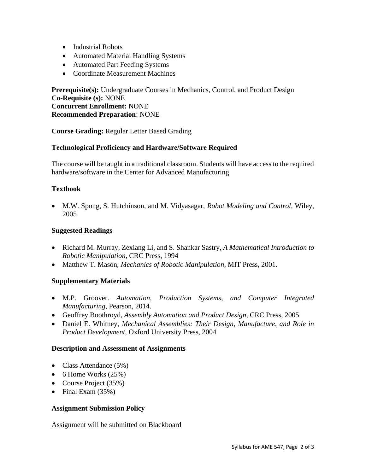- Industrial Robots
- Automated Material Handling Systems
- Automated Part Feeding Systems
- Coordinate Measurement Machines

**Prerequisite(s):** Undergraduate Courses in Mechanics, Control, and Product Design **Co-Requisite (s):** NONE **Concurrent Enrollment:** NONE **Recommended Preparation**: NONE

**Course Grading:** Regular Letter Based Grading

# **Technological Proficiency and Hardware/Software Required**

The course will be taught in a traditional classroom. Students will have access to the required hardware/software in the Center for Advanced Manufacturing

# **Textbook**

• M.W. Spong, S. Hutchinson, and M. Vidyasagar, *Robot Modeling and Control*, Wiley, 2005

# **Suggested Readings**

- Richard M. Murray, Zexiang Li, and S. Shankar Sastry, *A Mathematical Introduction to Robotic Manipulation,* CRC Press, 1994
- Matthew T. Mason, *Mechanics of Robotic Manipulation*, MIT Press, 2001.

# **Supplementary Materials**

- M.P. Groover. *Automation, Production Systems, and Computer Integrated Manufacturing*, Pearson, 2014.
- Geoffrey Boothroyd, *Assembly Automation and Product Design*, CRC Press, 2005
- Daniel E. Whitney, *Mechanical Assemblies: Their Design, Manufacture, and Role in Product Development*, Oxford University Press, 2004

#### **Description and Assessment of Assignments**

- Class Attendance (5%)
- 6 Home Works  $(25%)$
- Course Project (35%)
- Final Exam (35%)

#### **Assignment Submission Policy**

Assignment will be submitted on Blackboard